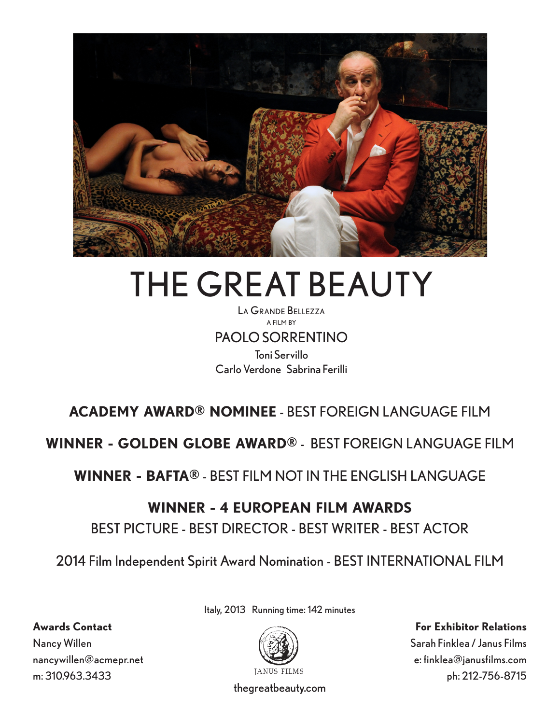

# THE GREAT BEAUTY

La Grande Bellezza a film by PAOLO SORRENTINO Toni Servillo Carlo Verdone Sabrina Ferilli

## **ACADEMY AWARD® NOMINEE** - BEST FOREIGN LANGUAGE FILM

**WINNER - GOLDEN GLOBE AWARD®** - BEST FOREIGN LANGUAGE FILM

**WINNER - BAFTA®** - BEST FILM NOT IN THE ENGLISH LANGUAGE

## **WINNER - 4 EUROPEAN FILM AWARDS**

## BEST PICTURE - BEST DIRECTOR - BEST WRITER - BEST ACTOR

2014 Film Independent Spirit Award Nomination - BEST INTERNATIONAL FILM

Italy, 2013 Running time: 142 minutes



**For Exhibitor Relations**

Sarah Finklea / Janus Films e: finklea@janusfilms.com ph: 212-756-8715

**Awards Contact** Nancy Willen nancywillen@acmepr.net m: 310.963.3433

thegreatbeauty.com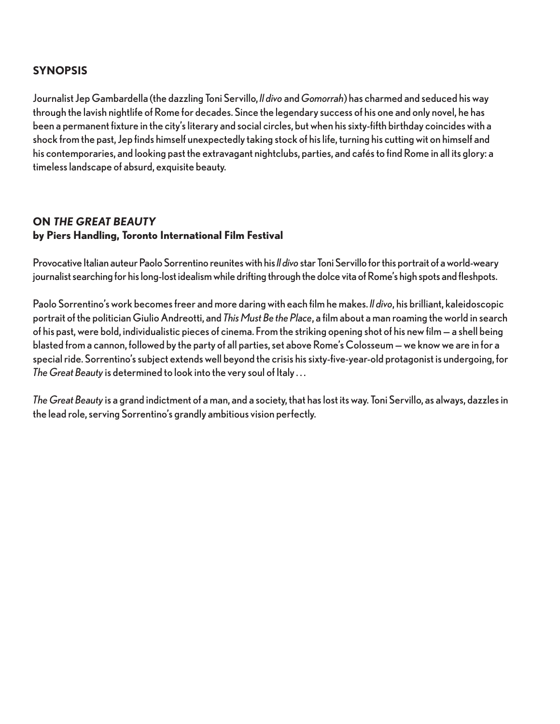## **SYNOPSIS**

Journalist Jep Gambardella (the dazzling Toni Servillo, *Il divo* and *Gomorrah*) has charmed and seduced his way through the lavish nightlife of Rome for decades. Since the legendary success of his one and only novel, he has been a permanent fixture in the city's literary and social circles, but when his sixty-fifth birthday coincides with a shock from the past, Jep finds himself unexpectedly taking stock of his life, turning his cutting wit on himself and his contemporaries, and looking past the extravagant nightclubs, parties, and cafés to find Rome in all its glory: a timeless landscape of absurd, exquisite beauty.

## **ON THE GREAT BEAUTY by Piers Handling, Toronto International Film Festival**

Provocative Italian auteur Paolo Sorrentino reunites with his *Il divo* star Toni Servillo for this portrait of a world-weary journalist searching for his long-lost idealism while drifting through the dolce vita of Rome's high spots and fleshpots.

Paolo Sorrentino's work becomes freer and more daring with each film he makes. *Il divo*, his brilliant, kaleidoscopic portrait of the politician Giulio Andreotti, and *This Must Be the Place*, a film about a man roaming the world in search of his past, were bold, individualistic pieces of cinema. From the striking opening shot of his new film — a shell being blasted from a cannon, followed by the party of all parties, set above Rome's Colosseum — we know we are in for a special ride. Sorrentino's subject extends well beyond the crisis his sixty-five-year-old protagonist is undergoing, for *The Great Beauty* is determined to look into the very soul of Italy . . .

*The Great Beauty* is a grand indictment of a man, and a society, that has lost its way. Toni Servillo, as always, dazzles in the lead role, serving Sorrentino's grandly ambitious vision perfectly.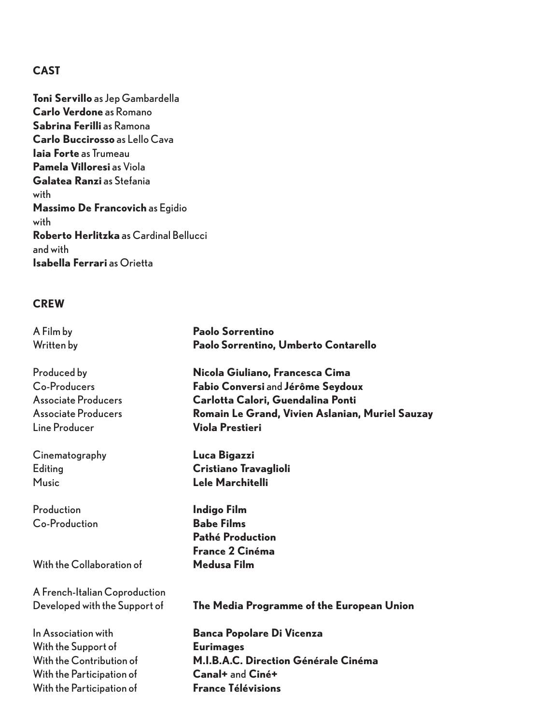## **CAST**

**Toni Servillo** as Jep Gambardella **Carlo Verdone** as Romano **Sabrina Ferilli** as Ramona **Carlo Buccirosso** as Lello Cava **Iaia Forte** as Trumeau **Pamela Villoresi** as Viola **Galatea Ranzi** as Stefania with **Massimo De Francovich** as Egidio with **Roberto Herlitzka** as Cardinal Bellucci and with **Isabella Ferrari** as Orietta

## **CREW**

| A Film by                     | Paolo Sorrentino                                |
|-------------------------------|-------------------------------------------------|
| Written by                    | Paolo Sorrentino, Umberto Contarello            |
| Produced by                   | Nicola Giuliano, Francesca Cima                 |
| Co-Producers                  | Fabio Conversi and Jérôme Seydoux               |
| <b>Associate Producers</b>    | Carlotta Calori, Guendalina Ponti               |
| <b>Associate Producers</b>    | Romain Le Grand, Vivien Aslanian, Muriel Sauzay |
| Line Producer                 | <b>Viola Prestieri</b>                          |
| Cinematography                | Luca Bigazzi                                    |
| Editing                       | Cristiano Travaglioli                           |
| <b>Music</b>                  | <b>Lele Marchitelli</b>                         |
| Production                    | <b>Indigo Film</b>                              |
| Co-Production                 | <b>Babe Films</b>                               |
|                               | <b>Pathé Production</b>                         |
|                               | <b>France 2 Cinéma</b>                          |
| With the Collaboration of     | Medusa Film                                     |
| A French-Italian Coproduction |                                                 |
| Developed with the Support of | The Media Programme of the European Union       |
| In Association with           | <b>Banca Popolare Di Vicenza</b>                |
| With the Support of           | <b>Eurimages</b>                                |
| With the Contribution of      | M.I.B.A.C. Direction Générale Cinéma            |
| With the Participation of     | Canal+ and Ciné+                                |
| With the Participation of     | <b>France Télévisions</b>                       |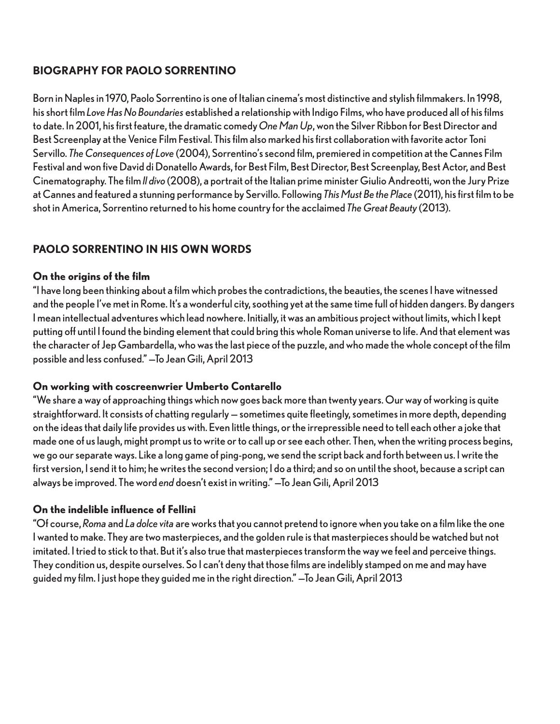## **BIOGRAPHY FOR PAOLO SORRENTINO**

Born in Naples in 1970, Paolo Sorrentino is one of Italian cinema's most distinctive and stylish filmmakers. In 1998, his short film *Love Has No Boundaries* established a relationship with Indigo Films, who have produced all of his films to date. In 2001, his first feature, the dramatic comedy *One Man Up*, won the Silver Ribbon for Best Director and Best Screenplay at the Venice Film Festival. This film also marked his first collaboration with favorite actor Toni Servillo. *The Consequences of Love* (2004), Sorrentino's second film, premiered in competition at the Cannes Film Festival and won five David di Donatello Awards, for Best Film, Best Director, Best Screenplay, Best Actor, and Best Cinematography. The film *Il divo* (2008), a portrait of the Italian prime minister Giulio Andreotti, won the Jury Prize at Cannes and featured a stunning performance by Servillo. Following *This Must Be the Place* (2011), his first film to be shot in America, Sorrentino returned to his home country for the acclaimed *The Great Beauty* (2013).

## **PAOLO SORRENTINO IN HIS OWN WORDS**

## **On the origins of the film**

"I have long been thinking about a film which probes the contradictions, the beauties, the scenes I have witnessed and the people I've met in Rome. It's a wonderful city, soothing yet at the same time full of hidden dangers. By dangers I mean intellectual adventures which lead nowhere. Initially, it was an ambitious project without limits, which I kept putting off until I found the binding element that could bring this whole Roman universe to life. And that element was the character of Jep Gambardella, who was the last piece of the puzzle, and who made the whole concept of the film possible and less confused." —To Jean Gili, April 2013

## **On working with coscreenwrier Umberto Contarello**

"We share a way of approaching things which now goes back more than twenty years. Our way of working is quite straightforward. It consists of chatting regularly — sometimes quite fleetingly, sometimes in more depth, depending on the ideas that daily life provides us with. Even little things, or the irrepressible need to tell each other a joke that made one of us laugh, might prompt us to write or to call up or see each other. Then, when the writing process begins, we go our separate ways. Like a long game of ping-pong, we send the script back and forth between us. I write the first version, I send it to him; he writes the second version; I do a third; and so on until the shoot, because a script can always be improved. The word *end* doesn't exist in writing." —To Jean Gili, April 2013

## **On the indelible influence of Fellini**

"Of course, *Roma* and *La dolce vita* are works that you cannot pretend to ignore when you take on a film like the one I wanted to make. They are two masterpieces, and the golden rule is that masterpieces should be watched but not imitated. I tried to stick to that. But it's also true that masterpieces transform the way we feel and perceive things. They condition us, despite ourselves. So I can't deny that those films are indelibly stamped on me and may have guided my film. I just hope they guided me in the right direction." —To Jean Gili, April 2013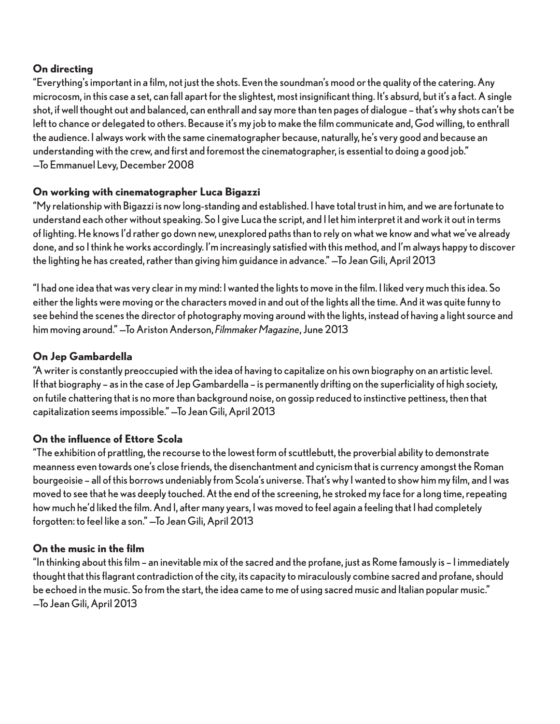## **On directing**

"Everything's important in a film, not just the shots. Even the soundman's mood or the quality of the catering. Any microcosm, in this case a set, can fall apart for the slightest, most insignificant thing. It's absurd, but it's a fact. A single shot, if well thought out and balanced, can enthrall and say more than ten pages of dialogue – that's why shots can't be left to chance or delegated to others. Because it's my job to make the film communicate and, God willing, to enthrall the audience. I always work with the same cinematographer because, naturally, he's very good and because an understanding with the crew, and first and foremost the cinematographer, is essential to doing a good job." —To Emmanuel Levy, December 2008

## **On working with cinematographer Luca Bigazzi**

"My relationship with Bigazzi is now long-standing and established. I have total trust in him, and we are fortunate to understand each other without speaking. So I give Luca the script, and I let him interpret it and work it out in terms of lighting. He knows I'd rather go down new, unexplored paths than to rely on what we know and what we've already done, and so I think he works accordingly. I'm increasingly satisfied with this method, and I'm always happy to discover the lighting he has created, rather than giving him guidance in advance." —To Jean Gili, April 2013

"I had one idea that was very clear in my mind: I wanted the lights to move in the film. I liked very much this idea. So either the lights were moving or the characters moved in and out of the lights all the time. And it was quite funny to see behind the scenes the director of photography moving around with the lights, instead of having a light source and him moving around." —To Ariston Anderson, *Filmmaker Magazine*, June 2013

## **On Jep Gambardella**

"A writer is constantly preoccupied with the idea of having to capitalize on his own biography on an artistic level. If that biography – as in the case of Jep Gambardella – is permanently drifting on the superficiality of high society, on futile chattering that is no more than background noise, on gossip reduced to instinctive pettiness, then that capitalization seems impossible." —To Jean Gili, April 2013

## **On the influence of Ettore Scola**

"The exhibition of prattling, the recourse to the lowest form of scuttlebutt, the proverbial ability to demonstrate meanness even towards one's close friends, the disenchantment and cynicism that is currency amongst the Roman bourgeoisie – all of this borrows undeniably from Scola's universe. That's why I wanted to show him my film, and I was moved to see that he was deeply touched. At the end of the screening, he stroked my face for a long time, repeating how much he'd liked the film. And I, after many years, I was moved to feel again a feeling that I had completely forgotten: to feel like a son." —To Jean Gili, April 2013

## **On the music in the film**

"In thinking about this film – an inevitable mix of the sacred and the profane, just as Rome famously is – I immediately thought that this flagrant contradiction of the city, its capacity to miraculously combine sacred and profane, should be echoed in the music. So from the start, the idea came to me of using sacred music and Italian popular music." —To Jean Gili, April 2013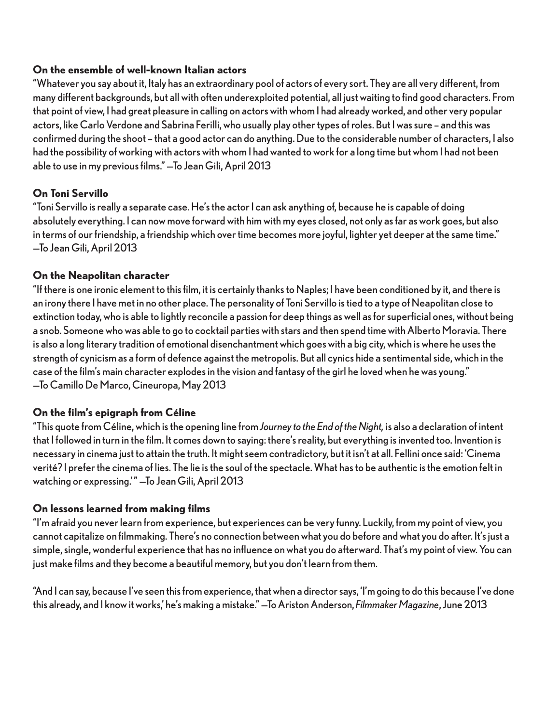## **On the ensemble of well-known Italian actors**

"Whatever you say about it, Italy has an extraordinary pool of actors of every sort. They are all very different, from many different backgrounds, but all with often underexploited potential, all just waiting to find good characters. From that point of view, I had great pleasure in calling on actors with whom I had already worked, and other very popular actors, like Carlo Verdone and Sabrina Ferilli, who usually play other types of roles. But I was sure – and this was confirmed during the shoot – that a good actor can do anything. Due to the considerable number of characters, I also had the possibility of working with actors with whom I had wanted to work for a long time but whom I had not been able to use in my previous films." —To Jean Gili, April 2013

## **On Toni Servillo**

"Toni Servillo is really a separate case. He's the actor I can ask anything of, because he is capable of doing absolutely everything. I can now move forward with him with my eyes closed, not only as far as work goes, but also in terms of our friendship, a friendship which over time becomes more joyful, lighter yet deeper at the same time." —To Jean Gili, April 2013

## **On the Neapolitan character**

"If there is one ironic element to this film, it is certainly thanks to Naples; I have been conditioned by it, and there is an irony there I have met in no other place. The personality of Toni Servillo is tied to a type of Neapolitan close to extinction today, who is able to lightly reconcile a passion for deep things as well as for superficial ones, without being a snob. Someone who was able to go to cocktail parties with stars and then spend time with Alberto Moravia. There is also a long literary tradition of emotional disenchantment which goes with a big city, which is where he uses the strength of cynicism as a form of defence against the metropolis. But all cynics hide a sentimental side, which in the case of the film's main character explodes in the vision and fantasy of the girl he loved when he was young." —To Camillo De Marco, Cineuropa, May 2013

## **On the film's epigraph from Céline**

"This quote from Céline, which is the opening line from *Journey to the End of the Night,* is also a declaration of intent that I followed in turn in the film. It comes down to saying: there's reality, but everything is invented too. Invention is necessary in cinema just to attain the truth. It might seem contradictory, but it isn't at all. Fellini once said: 'Cinema verité? I prefer the cinema of lies. The lie is the soul of the spectacle. What has to be authentic is the emotion felt in watching or expressing." - To Jean Gili, April 2013

## **On lessons learned from making films**

"I'm afraid you never learn from experience, but experiences can be very funny. Luckily, from my point of view, you cannot capitalize on filmmaking. There's no connection between what you do before and what you do after. It's just a simple, single, wonderful experience that has no influence on what you do afterward. That's my point of view. You can just make films and they become a beautiful memory, but you don't learn from them.

"And I can say, because I've seen this from experience, that when a director says, 'I'm going to do this because I've done this already, and I know it works,' he's making a mistake." —To Ariston Anderson, *Filmmaker Magazine*, June 2013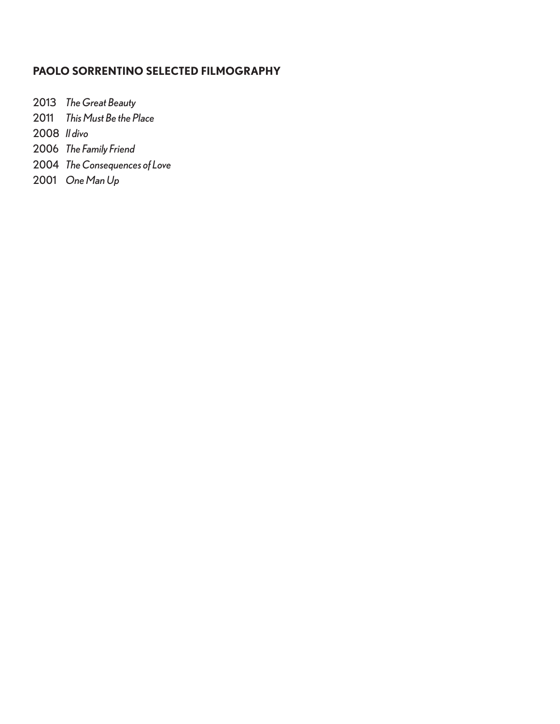## **PAOLO SORRENTINO SELECTED FILMOGRAPHY**

*The Great Beauty*

*This Must Be the Place*

*Il divo*

- *The Family Friend*
- *The Consequences of Love*
- *One Man Up*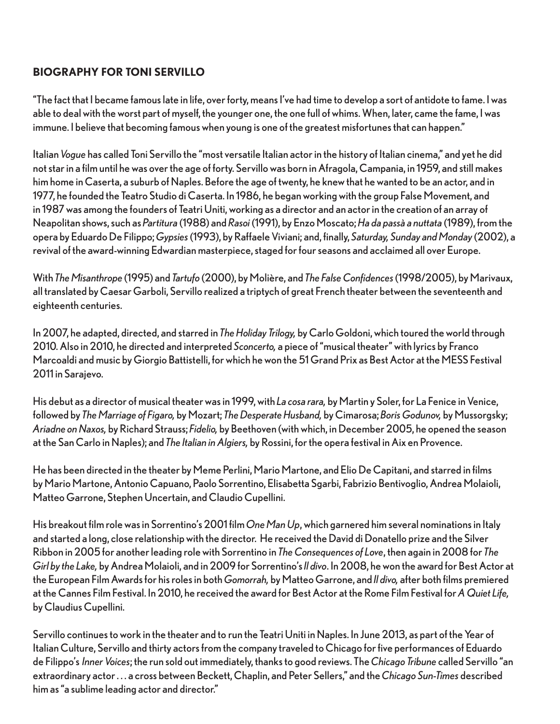## **BIOGRAPHY FOR TONI SERVILLO**

"The fact that I became famous late in life, over forty, means I've had time to develop a sort of antidote to fame. I was able to deal with the worst part of myself, the younger one, the one full of whims. When, later, came the fame, I was immune. I believe that becoming famous when young is one of the greatest misfortunes that can happen."

Italian *Vogue* has called Toni Servillo the "most versatile Italian actor in the history of Italian cinema," and yet he did not star in a film until he was over the age of forty. Servillo was born in Afragola, Campania, in 1959, and still makes him home in Caserta, a suburb of Naples. Before the age of twenty, he knew that he wanted to be an actor, and in 1977, he founded the Teatro Studio di Caserta. In 1986, he began working with the group False Movement, and in 1987 was among the founders of Teatri Uniti, working as a director and an actor in the creation of an array of Neapolitan shows, such as *Partitura* (1988) and *Rasoi* (1991), by Enzo Moscato; *Ha da passà a nuttata* (1989), from the opera by Eduardo De Filippo; *Gypsies* (1993), by Raffaele Viviani; and, finally, *Saturday, Sunday and Monday* (2002), a revival of the award-winning Edwardian masterpiece, staged for four seasons and acclaimed all over Europe.

With *The Misanthrope* (1995) and *Tartufo* (2000), by Molière, and *The False Confidences* (1998/2005), by Marivaux, all translated by Caesar Garboli, Servillo realized a triptych of great French theater between the seventeenth and eighteenth centuries.

In 2007, he adapted, directed, and starred in *The Holiday Trilogy,* by Carlo Goldoni, which toured the world through 2010. Also in 2010, he directed and interpreted *Sconcerto,* a piece of "musical theater" with lyrics by Franco Marcoaldi and music by Giorgio Battistelli, for which he won the 51 Grand Prix as Best Actor at the MESS Festival 2011 in Sarajevo.

His debut as a director of musical theater was in 1999, with *La cosa rara,* by Martin y Soler, for La Fenice in Venice, followed by *The Marriage of Figaro,* by Mozart; *The Desperate Husband,* by Cimarosa; *Boris Godunov,* by Mussorgsky; *Ariadne on Naxos,* by Richard Strauss; *Fidelio,* by Beethoven (with which, in December 2005, he opened the season at the San Carlo in Naples); and *The Italian in Algiers,* by Rossini, for the opera festival in Aix en Provence.

He has been directed in the theater by Meme Perlini, Mario Martone, and Elio De Capitani, and starred in films by Mario Martone, Antonio Capuano, Paolo Sorrentino, Elisabetta Sgarbi, Fabrizio Bentivoglio, Andrea Molaioli, Matteo Garrone, Stephen Uncertain, and Claudio Cupellini.

His breakout film role was in Sorrentino's 2001 film *One Man Up*, which garnered him several nominations in Italy and started a long, close relationship with the director. He received the David di Donatello prize and the Silver Ribbon in 2005 for another leading role with Sorrentino in *The Consequences of Love*, then again in 2008 for *The Girl by the Lake,* by Andrea Molaioli, and in 2009 for Sorrentino's *Il divo*. In 2008, he won the award for Best Actor at the European Film Awards for his roles in both *Gomorrah,* by Matteo Garrone, and *Il divo,* after both films premiered at the Cannes Film Festival. In 2010, he received the award for Best Actor at the Rome Film Festival for *A Quiet Life,* by Claudius Cupellini.

Servillo continues to work in the theater and to run the Teatri Uniti in Naples. In June 2013, as part of the Year of Italian Culture, Servillo and thirty actors from the company traveled to Chicago for five performances of Eduardo de Filippo's *Inner Voices*; the run sold out immediately, thanks to good reviews. The *Chicago Tribune* called Servillo "an extraordinary actor . . . a cross between Beckett, Chaplin, and Peter Sellers," and the *Chicago Sun-Times* described him as "a sublime leading actor and director."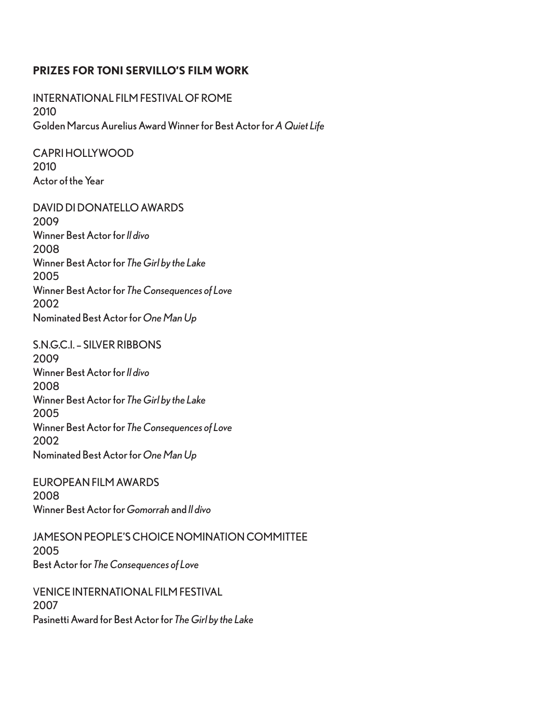## **PRIZES FOR TONI SERVILLO'S FILM WORK**

INTERNATIONAL FILM FESTIVAL OF ROME 2010 Golden Marcus Aurelius Award Winner for Best Actor for *A Quiet Life*

CAPRI HOLLYWOOD 2010 Actor of the Year

DAVID DI DONATELLO AWARDS 2009 Winner Best Actor for *Il divo* 2008 Winner Best Actor for *The Girl by the Lake* 2005 Winner Best Actor for *The Consequences of Love* 2002 Nominated Best Actor for *One Man Up*

S.N.G.C.I. – SILVER RIBBONS 2009 Winner Best Actor for *Il divo* 2008 Winner Best Actor for *The Girl by the Lake* 2005 Winner Best Actor for *The Consequences of Love* 2002 Nominated Best Actor for *One Man Up*

EUROPEAN FILM AWARDS 2008 Winner Best Actor for *Gomorrah* and *Il divo*

JAMESON PEOPLE'S CHOICE NOMINATION COMMITTEE 2005 Best Actor for *The Consequences of Love*

VENICE INTERNATIONAL FILM FESTIVAL 2007 Pasinetti Award for Best Actor for *The Girl by the Lake*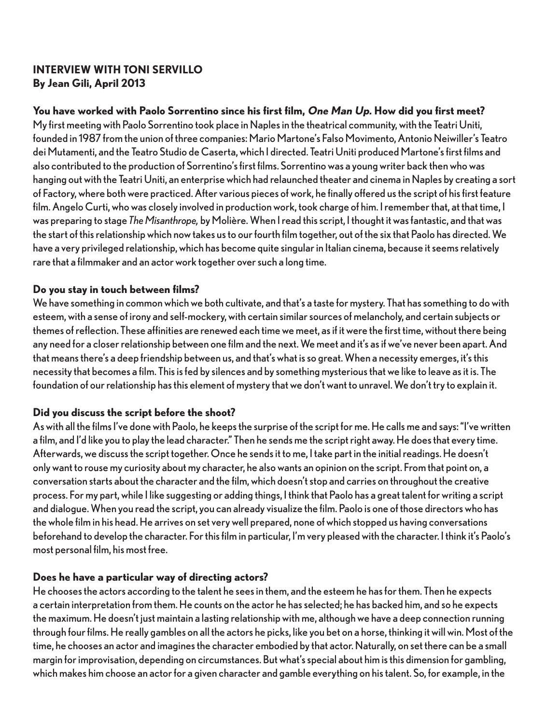## **INTERVIEW WITH TONI SERVILLO By Jean Gili, April 2013**

## **You have worked with Paolo Sorrentino since his first film, One Man Up. How did you first meet?**

My first meeting with Paolo Sorrentino took place in Naples in the theatrical community, with the Teatri Uniti, founded in 1987 from the union of three companies: Mario Martone's Falso Movimento, Antonio Neiwiller's Teatro dei Mutamenti, and the Teatro Studio de Caserta, which I directed. Teatri Uniti produced Martone's first films and also contributed to the production of Sorrentino's first films. Sorrentino was a young writer back then who was hanging out with the Teatri Uniti, an enterprise which had relaunched theater and cinema in Naples by creating a sort of Factory, where both were practiced. After various pieces of work, he finally offered us the script of his first feature film. Angelo Curti, who was closely involved in production work, took charge of him. I remember that, at that time, I was preparing to stage *The Misanthrope,* by Molière. When I read this script, I thought it was fantastic, and that was the start of this relationship which now takes us to our fourth film together, out of the six that Paolo has directed. We have a very privileged relationship, which has become quite singular in Italian cinema, because it seems relatively rare that a filmmaker and an actor work together over such a long time.

## **Do you stay in touch between films?**

We have something in common which we both cultivate, and that's a taste for mystery. That has something to do with esteem, with a sense of irony and self-mockery, with certain similar sources of melancholy, and certain subjects or themes of reflection. These affinities are renewed each time we meet, as if it were the first time, without there being any need for a closer relationship between one film and the next. We meet and it's as if we've never been apart. And that means there's a deep friendship between us, and that's what is so great. When a necessity emerges, it's this necessity that becomes a film. This is fed by silences and by something mysterious that we like to leave as it is. The foundation of our relationship has this element of mystery that we don't want to unravel. We don't try to explain it.

## **Did you discuss the script before the shoot?**

As with all the films I've done with Paolo, he keeps the surprise of the script for me. He calls me and says: "I've written a film, and I'd like you to play the lead character." Then he sends me the script right away. He does that every time. Afterwards, we discuss the script together. Once he sends it to me, I take part in the initial readings. He doesn't only want to rouse my curiosity about my character, he also wants an opinion on the script. From that point on, a conversation starts about the character and the film, which doesn't stop and carries on throughout the creative process. For my part, while I like suggesting or adding things, I think that Paolo has a great talent for writing a script and dialogue. When you read the script, you can already visualize the film. Paolo is one of those directors who has the whole film in his head. He arrives on set very well prepared, none of which stopped us having conversations beforehand to develop the character. For this film in particular, I'm very pleased with the character. I think it's Paolo's most personal film, his most free.

## **Does he have a particular way of directing actors?**

He chooses the actors according to the talent he sees in them, and the esteem he has for them. Then he expects a certain interpretation from them. He counts on the actor he has selected; he has backed him, and so he expects the maximum. He doesn't just maintain a lasting relationship with me, although we have a deep connection running through four films. He really gambles on all the actors he picks, like you bet on a horse, thinking it will win. Most of the time, he chooses an actor and imagines the character embodied by that actor. Naturally, on set there can be a small margin for improvisation, depending on circumstances. But what's special about him is this dimension for gambling, which makes him choose an actor for a given character and gamble everything on his talent. So, for example, in the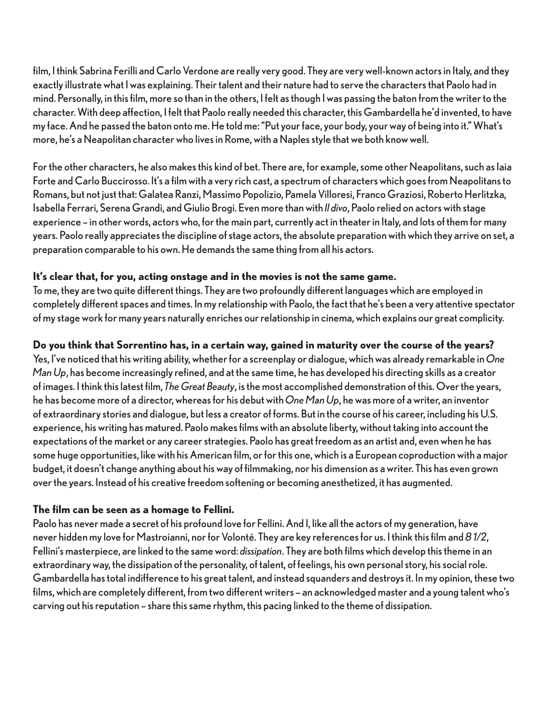film, I think Sabrina Ferilli and Carlo Verdone are really very good. They are very well-known actors in Italy, and they exactly illustrate what I was explaining. Their talent and their nature had to serve the characters that Paolo had in mind. Personally, in this film, more so than in the others, I felt as though I was passing the baton from the writer to the character. With deep affection, I felt that Paolo really needed this character, this Gambardella he'd invented, to have my face. And he passed the baton onto me. He told me: "Put your face, your body, your way of being into it." What's more, he's a Neapolitan character who lives in Rome, with a Naples style that we both know well.

For the other characters, he also makes this kind of bet. There are, for example, some other Neapolitans, such as Iaia Forte and Carlo Buccirosso. It's a film with a very rich cast, a spectrum of characters which goes from Neapolitans to Romans, but not just that: Galatea Ranzi, Massimo Popolizio, Pamela Villoresi, Franco Graziosi, Roberto Herlitzka, Isabella Ferrari, Serena Grandi, and Giulio Brogi. Even more than with *Il divo*, Paolo relied on actors with stage experience – in other words, actors who, for the main part, currently act in theater in Italy, and lots of them for many years. Paolo really appreciates the discipline of stage actors, the absolute preparation with which they arrive on set, a preparation comparable to his own. He demands the same thing from all his actors.

## **It's clear that, for you, acting onstage and in the movies is not the same game.**

To me, they are two quite different things. They are two profoundly different languages which are employed in completely different spaces and times. In my relationship with Paolo, the fact that he's been a very attentive spectator of my stage work for many years naturally enriches our relationship in cinema, which explains our great complicity.

## **Do you think that Sorrentino has, in a certain way, gained in maturity over the course of the years?**

Yes, I've noticed that his writing ability, whether for a screenplay or dialogue, which was already remarkable in *One Man Up*, has become increasingly refined, and at the same time, he has developed his directing skills as a creator of images. I think this latest film, *The Great Beauty*, is the most accomplished demonstration of this. Over the years, he has become more of a director, whereas for his debut with *One Man Up*, he was more of a writer, an inventor of extraordinary stories and dialogue, but less a creator of forms. But in the course of his career, including his U.S. experience, his writing has matured. Paolo makes films with an absolute liberty, without taking into account the expectations of the market or any career strategies. Paolo has great freedom as an artist and, even when he has some huge opportunities, like with his American film, or for this one, which is a European coproduction with a major budget, it doesn't change anything about his way of filmmaking, nor his dimension as a writer. This has even grown over the years. Instead of his creative freedom softening or becoming anesthetized, it has augmented.

## **The film can be seen as a homage to Fellini.**

Paolo has never made a secret of his profound love for Fellini. And I, like all the actors of my generation, have never hidden my love for Mastroianni, nor for Volonté. They are key references for us. I think this film and *8 1/2*, Fellini's masterpiece, are linked to the same word: *dissipation*. They are both films which develop this theme in an extraordinary way, the dissipation of the personality, of talent, of feelings, his own personal story, his social role. Gambardella has total indifference to his great talent, and instead squanders and destroys it. In my opinion, these two films, which are completely different, from two different writers – an acknowledged master and a young talent who's carving out his reputation – share this same rhythm, this pacing linked to the theme of dissipation.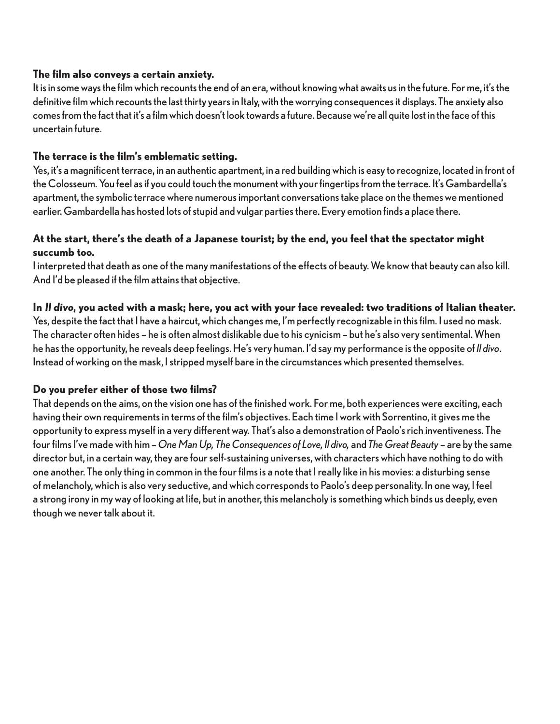## **The film also conveys a certain anxiety.**

It is in some ways the film which recounts the end of an era, without knowing what awaits us in the future. For me, it's the definitive film which recounts the last thirty years in Italy, with the worrying consequences it displays. The anxiety also comes from the fact that it's a film which doesn't look towards a future. Because we're all quite lost in the face of this uncertain future.

## **The terrace is the film's emblematic setting.**

Yes, it's a magnificent terrace, in an authentic apartment, in a red building which is easy to recognize, located in front of the Colosseum. You feel as if you could touch the monument with your fingertips from the terrace. It's Gambardella's apartment, the symbolic terrace where numerous important conversations take place on the themes we mentioned earlier. Gambardella has hosted lots of stupid and vulgar parties there. Every emotion finds a place there.

## **At the start, there's the death of a Japanese tourist; by the end, you feel that the spectator might succumb too.**

I interpreted that death as one of the many manifestations of the effects of beauty. We know that beauty can also kill. And I'd be pleased if the film attains that objective.

## **In Il divo, you acted with a mask; here, you act with your face revealed: two traditions of Italian theater.**

Yes, despite the fact that I have a haircut, which changes me, I'm perfectly recognizable in this film. I used no mask. The character often hides – he is often almost dislikable due to his cynicism – but he's also very sentimental. When he has the opportunity, he reveals deep feelings. He's very human. I'd say my performance is the opposite of *Il divo*. Instead of working on the mask, I stripped myself bare in the circumstances which presented themselves.

## **Do you prefer either of those two films?**

That depends on the aims, on the vision one has of the finished work. For me, both experiences were exciting, each having their own requirements in terms of the film's objectives. Each time I work with Sorrentino, it gives me the opportunity to express myself in a very different way. That's also a demonstration of Paolo's rich inventiveness. The four films I've made with him – *One Man Up, The Consequences of Love, Il divo,* and *The Great Beauty* – are by the same director but, in a certain way, they are four self-sustaining universes, with characters which have nothing to do with one another. The only thing in common in the four films is a note that I really like in his movies: a disturbing sense of melancholy, which is also very seductive, and which corresponds to Paolo's deep personality. In one way, I feel a strong irony in my way of looking at life, but in another, this melancholy is something which binds us deeply, even though we never talk about it.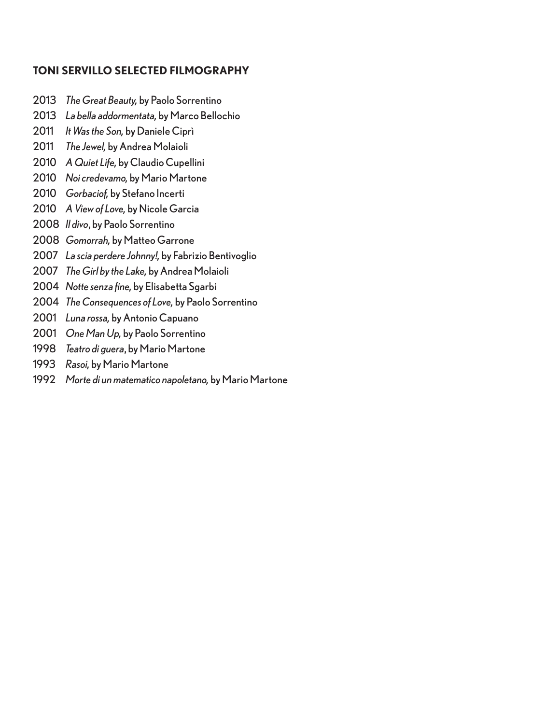## **TONI SERVILLO SELECTED FILMOGRAPHY**

- *The Great Beauty,* by Paolo Sorrentino
- *La bella addormentata,* by Marco Bellochio
- *It Was the Son,* by Daniele Ciprì
- *The Jewel,* by Andrea Molaioli
- *A Quiet Life,* by Claudio Cupellini
- *Noi credevamo,* by Mario Martone
- *Gorbaciof,* by Stefano Incerti
- *A View of Love,* by Nicole Garcia
- *Il divo*, by Paolo Sorrentino
- *Gomorrah,* by Matteo Garrone
- *La scia perdere Johnny!,* by Fabrizio Bentivoglio
- *The Girl by the Lake,* by Andrea Molaioli
- *Notte senza fine,* by Elisabetta Sgarbi
- *The Consequences of Love,* by Paolo Sorrentino
- *Luna rossa,* by Antonio Capuano
- *One Man Up,* by Paolo Sorrentino
- *Teatro di guera*, by Mario Martone
- *Rasoi,* by Mario Martone
- *Morte di un matematico napoletano,* by Mario Martone